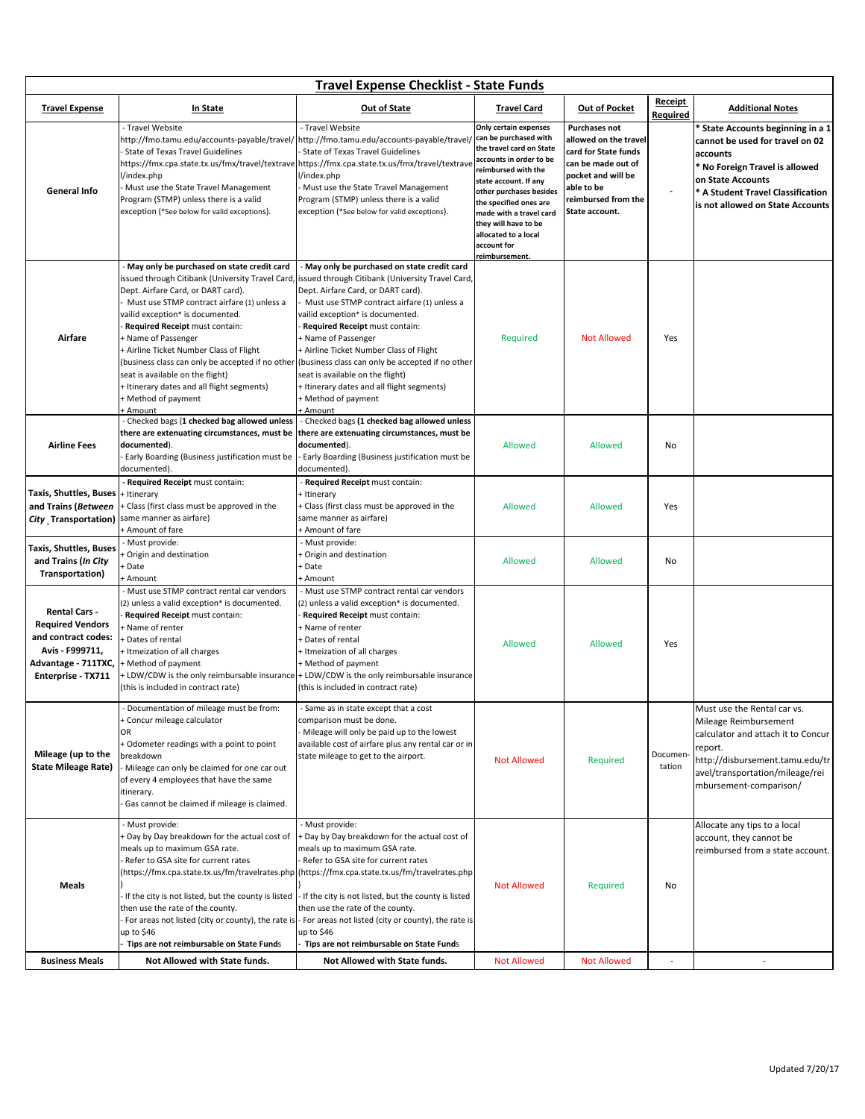| <b>Travel Expense Checklist - State Funds</b>                                                                                          |                                                                                                                                                                                                                                                                                                                                                                                                                                                        |                                                                                                                                                                                                                                                                                                                                                                                                                                                                    |                                                                                                                                                                                                                                                                                                                        |                                                                                                                                                                   |                                   |                                                                                                                                                                                                                  |
|----------------------------------------------------------------------------------------------------------------------------------------|--------------------------------------------------------------------------------------------------------------------------------------------------------------------------------------------------------------------------------------------------------------------------------------------------------------------------------------------------------------------------------------------------------------------------------------------------------|--------------------------------------------------------------------------------------------------------------------------------------------------------------------------------------------------------------------------------------------------------------------------------------------------------------------------------------------------------------------------------------------------------------------------------------------------------------------|------------------------------------------------------------------------------------------------------------------------------------------------------------------------------------------------------------------------------------------------------------------------------------------------------------------------|-------------------------------------------------------------------------------------------------------------------------------------------------------------------|-----------------------------------|------------------------------------------------------------------------------------------------------------------------------------------------------------------------------------------------------------------|
| <b>Travel Expense</b>                                                                                                                  | In State                                                                                                                                                                                                                                                                                                                                                                                                                                               | <b>Out of State</b>                                                                                                                                                                                                                                                                                                                                                                                                                                                | <b>Travel Card</b>                                                                                                                                                                                                                                                                                                     | <b>Out of Pocket</b>                                                                                                                                              | <b>Receipt</b><br><b>Required</b> | <b>Additional Notes</b>                                                                                                                                                                                          |
| <b>General Info</b>                                                                                                                    | Travel Website<br>http://fmo.tamu.edu/accounts-payable/travel/<br>State of Texas Travel Guidelines<br>https://fmx.cpa.state.tx.us/fmx/travel/textravelhttps://fmx.cpa.state.tx.us/fmx/travel/textrave<br>l/index.php<br>Must use the State Travel Management<br>Program (STMP) unless there is a valid<br>exception (*See below for valid exceptions).                                                                                                 | Travel Website<br>http://fmo.tamu.edu/accounts-payable/travel/<br>State of Texas Travel Guidelines<br>l/index.php<br>Must use the State Travel Management<br>Program (STMP) unless there is a valid<br>exception (*See below for valid exceptions).                                                                                                                                                                                                                | Only certain expenses<br>can be purchased with<br>the travel card on State<br>accounts in order to be<br>reimbursed with the<br>state account. If any<br>other purchases besides<br>the specified ones are<br>made with a travel card<br>they will have to be<br>allocated to a local<br>account for<br>reimbursement. | Purchases not<br>allowed on the travel<br>card for State funds<br>can be made out of<br>pocket and will be<br>able to be<br>reimbursed from the<br>State account. |                                   | * State Accounts beginning in a 1<br>cannot be used for travel on 02<br>accounts<br>* No Foreign Travel is allowed<br>on State Accounts<br>* A Student Travel Classification<br>is not allowed on State Accounts |
|                                                                                                                                        | May only be purchased on state credit card                                                                                                                                                                                                                                                                                                                                                                                                             | May only be purchased on state credit card                                                                                                                                                                                                                                                                                                                                                                                                                         |                                                                                                                                                                                                                                                                                                                        |                                                                                                                                                                   |                                   |                                                                                                                                                                                                                  |
| Airfare                                                                                                                                | issued through Citibank (University Travel Card,<br>Dept. Airfare Card, or DART card).<br>Must use STMP contract airfare (1) unless a<br>vailid exception* is documented.<br>Required Receipt must contain:<br>+ Name of Passenger<br>+ Airline Ticket Number Class of Flight<br>(business class can only be accepted if no other<br>seat is available on the flight)<br>+ Itinerary dates and all flight segments)<br>+ Method of payment<br>· Amount | issued through Citibank (University Travel Card,<br>Dept. Airfare Card, or DART card).<br>Must use STMP contract airfare (1) unless a<br>vailid exception* is documented.<br>Required Receipt must contain:<br><b>- Name of Passenger</b><br>+ Airline Ticket Number Class of Flight<br>(business class can only be accepted if no other<br>seat is available on the flight)<br>+ Itinerary dates and all flight segments)<br><b>Method of payment</b><br>- Amount | Required                                                                                                                                                                                                                                                                                                               | <b>Not Allowed</b>                                                                                                                                                | Yes                               |                                                                                                                                                                                                                  |
| <b>Airline Fees</b>                                                                                                                    | - Checked bags (1 checked bag allowed unless<br>there are extenuating circumstances, must be<br>documented).<br>Early Boarding (Business justification must be<br>documented).                                                                                                                                                                                                                                                                         | Checked bags (1 checked bag allowed unless<br>there are extenuating circumstances, must be<br>documented).<br>Early Boarding (Business justification must be<br>documented).                                                                                                                                                                                                                                                                                       | <b>Allowed</b>                                                                                                                                                                                                                                                                                                         | <b>Allowed</b>                                                                                                                                                    | No                                |                                                                                                                                                                                                                  |
| Taxis, Shuttles, Buses  + Itinerary<br>and Trains (Between<br>City Transportation)                                                     | Required Receipt must contain:<br>Eclass (first class must be approved in the<br>same manner as airfare)<br>+ Amount of fare                                                                                                                                                                                                                                                                                                                           | Required Receipt must contain:<br>Itinerary<br>Class (first class must be approved in the<br>same manner as airfare)<br>+ Amount of fare                                                                                                                                                                                                                                                                                                                           | <b>Allowed</b>                                                                                                                                                                                                                                                                                                         | Allowed                                                                                                                                                           | Yes                               |                                                                                                                                                                                                                  |
| Taxis, Shuttles, Buses<br>and Trains (In City<br>Transportation)                                                                       | Must provide:<br>Origin and destination<br>Date<br>+ Amount                                                                                                                                                                                                                                                                                                                                                                                            | - Must provide:<br>Origin and destination<br>- Date<br>⊦ Amount                                                                                                                                                                                                                                                                                                                                                                                                    | <b>Allowed</b>                                                                                                                                                                                                                                                                                                         | Allowed                                                                                                                                                           | No                                |                                                                                                                                                                                                                  |
| <b>Rental Cars -</b><br><b>Required Vendors</b><br>and contract codes:<br>Avis - F999711,<br>Advantage - 711TXC,<br>Enterprise - TX711 | Must use STMP contract rental car vendors<br>(2) unless a valid exception* is documented.<br>Required Receipt must contain:<br><b>Name of renter</b><br>Dates of rental<br>Itmeization of all charges<br>+ Method of payment<br>(this is included in contract rate)                                                                                                                                                                                    | - Must use STMP contract rental car vendors<br>2) unless a valid exception* is documented.<br>Required Receipt must contain:<br>Name of renter<br>Dates of rental<br>Itmeization of all charges<br>+ Method of payment<br>+ LDW/CDW is the only reimbursable insurance + LDW/CDW is the only reimbursable insurance<br>(this is included in contract rate)                                                                                                         | <b>Allowed</b>                                                                                                                                                                                                                                                                                                         | Allowed                                                                                                                                                           | Yes                               |                                                                                                                                                                                                                  |
| Mileage (up to the<br><b>State Mileage Rate)</b>                                                                                       | Documentation of mileage must be from:<br>+ Concur mileage calculator<br>OR<br>+ Odometer readings with a point to point<br>breakdown<br>Mileage can only be claimed for one car out<br>of every 4 employees that have the same<br>itinerary.<br>Gas cannot be claimed if mileage is claimed.                                                                                                                                                          | - Same as in state except that a cost<br>comparison must be done.<br>Mileage will only be paid up to the lowest<br>available cost of airfare plus any rental car or in<br>state mileage to get to the airport.                                                                                                                                                                                                                                                     | <b>Not Allowed</b>                                                                                                                                                                                                                                                                                                     | Required                                                                                                                                                          | Documen<br>tation                 | Must use the Rental car vs.<br>Mileage Reimbursement<br>calculator and attach it to Concur<br>report.<br>http://disbursement.tamu.edu/tr<br>avel/transportation/mileage/rei<br>mbursement-comparison/            |
| Meals                                                                                                                                  | Must provide:<br>Day by Day breakdown for the actual cost of<br>meals up to maximum GSA rate.<br>Refer to GSA site for current rates<br>If the city is not listed, but the county is listed<br>then use the rate of the county.<br>For areas not listed (city or county), the rate is<br>up to \$46<br>Tips are not reimbursable on State Funds                                                                                                        | - Must provide:<br>+ Day by Day breakdown for the actual cost of<br>meals up to maximum GSA rate.<br>Refer to GSA site for current rates<br>(https://fmx.cpa.state.tx.us/fm/travelrates.php (https://fmx.cpa.state.tx.us/fm/travelrates.php<br>- If the city is not listed, but the county is listed<br>then use the rate of the county.<br>- For areas not listed (city or county), the rate is<br>up to \$46<br>Tips are not reimbursable on State Funds         | <b>Not Allowed</b>                                                                                                                                                                                                                                                                                                     | Required                                                                                                                                                          | No                                | Allocate any tips to a local<br>account, they cannot be<br>reimbursed from a state account.                                                                                                                      |
| <b>Business Meals</b>                                                                                                                  | Not Allowed with State funds.                                                                                                                                                                                                                                                                                                                                                                                                                          | Not Allowed with State funds.                                                                                                                                                                                                                                                                                                                                                                                                                                      | <b>Not Allowed</b>                                                                                                                                                                                                                                                                                                     | <b>Not Allowed</b>                                                                                                                                                | $\overline{\phantom{a}}$          | $\overline{\phantom{a}}$                                                                                                                                                                                         |